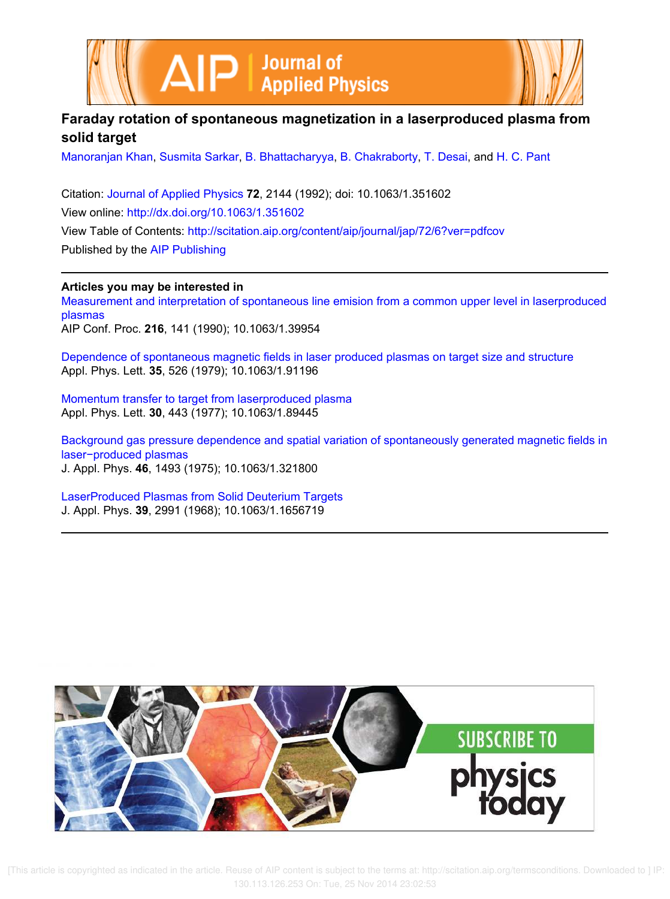



## **Faraday rotation of spontaneous magnetization in a laserproduced plasma from solid target**

Manoranjan Khan, Susmita Sarkar, B. Bhattacharyya, B. Chakraborty, T. Desai, and H. C. Pant

Citation: Journal of Applied Physics **72**, 2144 (1992); doi: 10.1063/1.351602 View online: http://dx.doi.org/10.1063/1.351602 View Table of Contents: http://scitation.aip.org/content/aip/journal/jap/72/6?ver=pdfcov Published by the AIP Publishing

**Articles you may be interested in**

Measurement and interpretation of spontaneous line emision from a common upper level in laserproduced plasmas AIP Conf. Proc. **216**, 141 (1990); 10.1063/1.39954

Dependence of spontaneous magnetic fields in laser produced plasmas on target size and structure Appl. Phys. Lett. **35**, 526 (1979); 10.1063/1.91196

Momentum transfer to target from laserproduced plasma Appl. Phys. Lett. **30**, 443 (1977); 10.1063/1.89445

Background gas pressure dependence and spatial variation of spontaneously generated magnetic fields in laser−produced plasmas J. Appl. Phys. **46**, 1493 (1975); 10.1063/1.321800

LaserProduced Plasmas from Solid Deuterium Targets J. Appl. Phys. **39**, 2991 (1968); 10.1063/1.1656719



 [This article is copyrighted as indicated in the article. Reuse of AIP content is subject to the terms at: http://scitation.aip.org/termsconditions. Downloaded to ] IP: 130.113.126.253 On: Tue, 25 Nov 2014 23:02:53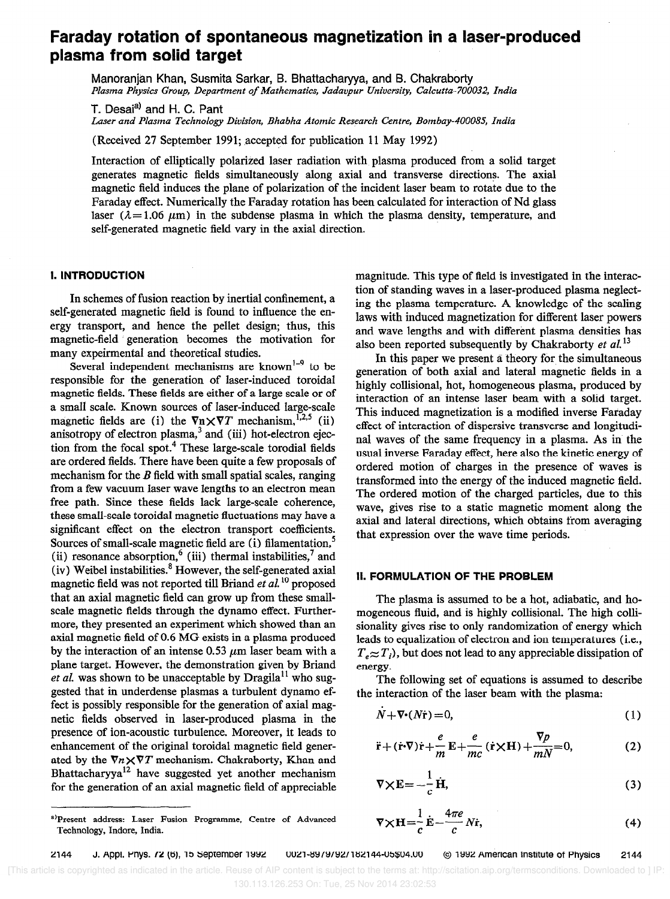# Faraday rotation of spontaneous magnetization in a laser-produced plasma from solid target

Manoranjan Khan, Susmita Sarkar, B. Bhattachatyya, and 8. Chakraborty Plasma Physics Group, Department of Mathematics, Jadavpur University, Calcutta-700032, India

T. Desai<sup>a)</sup> and H. C. Pant Laser and Plasma Technology Division, Bhabha Atomic Research Centre, Bombay-400085, India

(Received 27 September 1991; accepted for publication 11 May 1992)

Interaction of elliptically polarized laser radiation with plasma produced from a solid target generates magnetic fields simultaneously along axial and transverse directions. The axial magnetic field induces the plane of polarization of the incident laser beam to rotate due to the Faraday effect. Numerically the Faraday rotation has been calculated for interaction of Nd glass laser ( $\lambda = 1.06 \mu m$ ) in the subdense plasma in which the plasma density, temperature, and self-generated magnetic field vary in the axial direction.

#### 1. INTRODUCTlON

In schemes of fusion reaction by inertial confinement, a self-generated magnetic field is found to influence the energy transport, and hence the pellet design; thus, this magnetic-field generation becomes the motivation for many expeirmental and theoretical studies.

Several independent mechanisms are known<sup>1-9</sup> to be responsible for the generation of laser-induced toroidal magnetic fields. These fields are either of a large scale or of a small scale. Known sources of laser-induced large-scale magnetic fields are (i) the  $\nabla n \times \nabla T$  mechanism,<sup>1,2,5</sup> (ii) anisotropy of electron plasma, $3$  and (iii) hot-electron ejection from the focal spot.<sup>4</sup> These large-scale torodial fields are ordered fields. There have been quite a few proposals of mechanism for the  $B$  field with small spatial scales, ranging from a few vacuum laser wave lengths to an electron mean free path. Since these fields lack large-scale coherence, these small-scale toroidal magnetic fluctuations may have a significant effect on the electron transport coefficients. Sources of small-scale magnetic field are (i) filamentation,<sup>5</sup> (ii) resonance absorption,<sup>6</sup> (iii) thermal instabilities,<sup>7</sup> and (iv) Weibel instabilities. $8$  However, the self-generated axial magnetic field was not reported till Briand et al.<sup>10</sup> proposed that an axial magnetic field can grow up from these smallscale magnetic fields through the dynamo effect. Furthermore, they presented an experiment which showed than an axial magnetic field of 0.6 MG exists in a plasma produced by the interaction of an intense 0.53  $\mu$ m laser beam with a plane target. However, the demonstration given by Briand et al. was shown to be unacceptable by  $Dragila<sup>11</sup>$  who suggested that in underdense plasmas a turbulent dynamo effect is possibly responsible for the generation of axial magnetic fields observed in laser-produced plasma in the presence of ion-acoustic turbulence. Moreover, it leads to enhancement of the original toroidal magnetic field generated by the  $\nabla n \times \nabla T$  mechanism. Chakraborty, Khan and Bhattacharyya<sup>12</sup> have suggested yet another mechanism for the generation of an axial magnetic field of appreciable magnitude. This type of field is investigated in the interaction of standing waves in a laser-produced plasma neglecting the plasma temperature. A knowledge of the scaling laws with induced magnetization for different laser powers and wave lengths and with different plasma densities has also been reported subsequently by Chakraborty et  $al$ .<sup>13</sup>

In this paper we present a theory for the simultaneous generation of both axial and lateral magnetic fields in a highly collisional, hot, homogeneous plasma, produced by interaction of an intense laser beam with a solid target. This induced magnetization is a modified inverse Faraday effect of interaction of dispersive transverse and longitudinal waves of the same frequency in a plasma. As in the usual inverse Faraday effect, here also the kinetic energy of ordered motion of charges in the presence of waves is transformed into the energy of the induced magnetic field. The ordered motion of the charged particles, due to this wave, gives rise to a static magnetic moment along the axial and lateral directions, which obtains from averaging that expression over the wave time periods.

### II. FORMULATION OF THE PROBLEM

The plasma is assumed to be a hot, adiabatic, and homogeneous fluid, and is highly collisional. The high collisionality gives rise to only randomization of energy which leads to equalization of electron and ion temperatures (i.e.,  $T<sub>e</sub> \approx T<sub>i</sub>$ ), but does not lead to any appreciable dissipation of energy.

The following set of equations is assumed to describe the interaction of the laser beam with the plasma:

$$
N + \nabla \cdot (N\dot{\mathbf{r}}) = 0,\tag{1}
$$

$$
\ddot{\mathbf{r}} + (\dot{\mathbf{r}} \cdot \nabla) \dot{\mathbf{r}} + \frac{e}{m} \mathbf{E} + \frac{e}{mc} (\dot{\mathbf{r}} \times \mathbf{H}) + \frac{\nabla p}{mN} = 0,
$$
 (2)

$$
\nabla \times \mathbf{E} = -\frac{1}{c} \dot{\mathbf{H}},\tag{3}
$$

$$
\nabla \times \mathbf{H} = \frac{1}{c} \dot{\mathbf{E}} - \frac{4\pi e}{c} N \dot{\mathbf{r}},\tag{4}
$$

a)Present address: Laser Fusion Programme, Centre of Advanced Technology, Indore, India.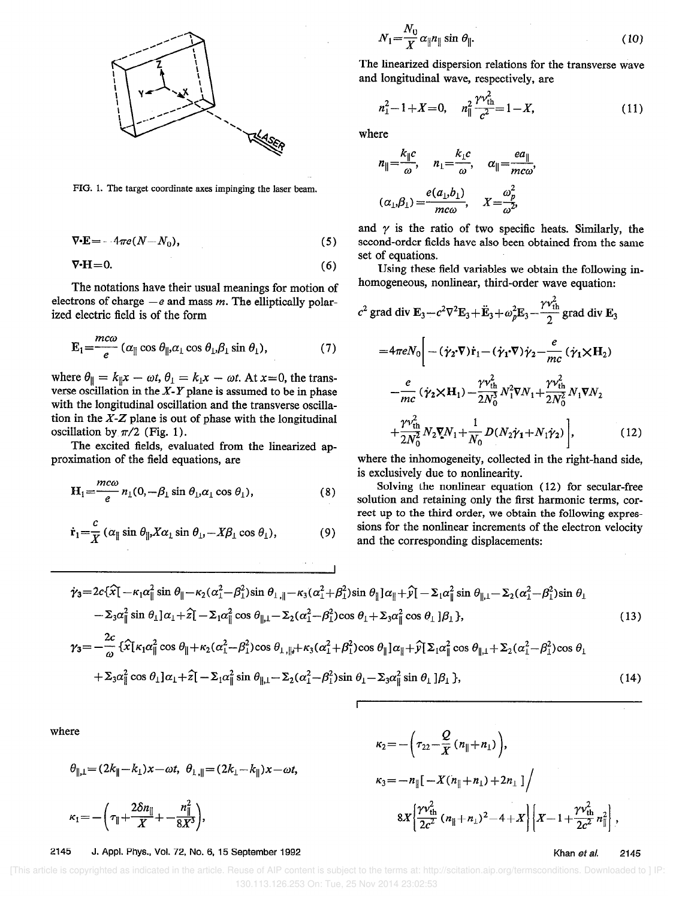

FIG. 1. The target coordinate axes impinging the laser beam.

$$
\nabla \cdot \mathbf{E} = -4\pi e (N - N_0),\tag{5}
$$

$$
\nabla \cdot \mathbf{H} = 0. \tag{6}
$$

The notations have their usual meanings for motion of electrons of charge  $-e$  and mass m. The elliptically polarized electric field is of the form

$$
\mathbf{E}_{1} = \frac{mc\omega}{e} \left( \alpha_{\parallel} \cos \theta_{\parallel}, \alpha_{\perp} \cos \theta_{\perp}, \beta_{\perp} \sin \theta_{\perp} \right), \tag{7}
$$

where  $\theta_{\parallel} = k_{\parallel} x - \omega t$ ,  $\theta_{\perp} = k_{\perp} x - \omega t$ . At  $x = 0$ , the transverse oscillation in the  $X-Y$  plane is assumed to be in phase with the longitudinal oscillation and the transverse oscillation in the  $X$ - $Z$  plane is out of phase with the longitudinal oscillation by  $\pi/2$  (Fig. 1).

The excited fields, evaluated from the linearized approximation of the field equations, are

$$
H_1 = \frac{mc\omega}{e} n_1(0, -\beta_1 \sin \theta_1, \alpha_1 \cos \theta_1), \qquad (8)
$$

$$
\dot{\mathbf{r}}_1 = \frac{c}{X} \left( \alpha_{\parallel} \sin \theta_{\parallel}, X \alpha_{\perp} \sin \theta_{\perp}, -X \beta_{\perp} \cos \theta_{\perp} \right),\tag{9}
$$

$$
N_1 = \frac{N_0}{X} \alpha_{\parallel} n_{\parallel} \sin \theta_{\parallel}. \tag{10}
$$

The linearized dispersion relations for the transverse wave and longitudinal wave, respectively, are

$$
n_1^2 - 1 + X = 0, \quad n_{\parallel}^2 \frac{\gamma v_{\text{th}}^2}{c^2} = 1 - X,\tag{11}
$$

where

$$
n_{\parallel} = \frac{k_{\parallel}c}{\omega}, \quad n_{\perp} = \frac{k_{\perp}c}{\omega}, \quad \alpha_{\parallel} = \frac{ea_{\parallel}}{m c \omega}
$$

$$
(\alpha_{\perp}, \beta_{\perp}) = \frac{e(a_{\perp}, b_{\perp})}{m c \omega}, \quad X = \frac{\omega_p^2}{\omega^2},
$$

and  $\gamma$  is the ratio of two specific heats. Similarly, the second-order fields have also been obtained from the same set of equations.

Using these field variables we obtain the following inhomogeneous, nonlinear, third-order wave equation:

$$
c^{2} \text{ grad div } \mathbf{E}_{3} - c^{2} \nabla^{2} \mathbf{E}_{3} + \ddot{\mathbf{E}}_{3} + \omega_{p}^{2} \mathbf{E}_{3} - \frac{\gamma \nu_{\text{th}}}{2} \text{ grad div } \mathbf{E}_{3}
$$
  
\n
$$
= 4\pi e N_{0} \bigg[ - (\dot{\gamma}_{2} \cdot \nabla) \dot{\mathbf{r}}_{1} - (\dot{\gamma}_{1} \cdot \nabla) \dot{\gamma}_{2} - \frac{e}{mc} (\dot{\gamma}_{1} \times \mathbf{H}_{2})
$$
  
\n
$$
- \frac{e}{mc} (\dot{\gamma}_{2} \times \mathbf{H}_{1}) - \frac{\gamma \nu_{\text{th}}^{2}}{2N_{0}^{3}} N_{1}^{2} \nabla N_{1} + \frac{\gamma \nu_{\text{th}}^{2}}{2N_{0}^{2}} N_{1} \nabla N_{2}
$$
  
\n
$$
+ \frac{\gamma \nu_{\text{th}}^{2}}{2N_{0}^{2}} N_{2} \nabla N_{1} + \frac{1}{N_{0}} D(N_{2} \dot{\gamma}_{1} + N_{1} \dot{\gamma}_{2}) \bigg], \qquad (12)
$$

where the inhomogeneity, collected in the right-hand side, is exclusively due to nonlinearity.

Solving the nonlinear equation (12) for secular-free solution and retaining only the first harmonic terms, correct up to the third order, we obtain the following expressions for the nonlinear increments of the electron velocity and the corresponding displacements:

$$
\dot{\gamma}_3 = 2c\{\hat{x}\} - \kappa_1 \alpha_{\parallel}^2 \sin \theta_{\parallel} - \kappa_2 (\alpha_1^2 - \beta_1^2) \sin \theta_{\perp, \parallel} - \kappa_3 (\alpha_1^2 + \beta_1^2) \sin \theta_{\parallel} \} \alpha_{\parallel} + \hat{y} \left[ -\Sigma_1 \alpha_{\parallel}^2 \sin \theta_{\parallel, \perp} - \Sigma_2 (\alpha_1^2 - \beta_1^2) \sin \theta_{\perp} - \Sigma_3 \alpha_{\parallel}^2 \sin \theta_{\perp} \} \alpha_{\parallel} \right] \alpha_{\parallel} + \hat{z} \left[ -\Sigma_1 \alpha_{\parallel}^2 \cos \theta_{\parallel, \perp} - \Sigma_2 (\alpha_1^2 - \beta_1^2) \cos \theta_{\perp} + \Sigma_3 \alpha_{\parallel}^2 \cos \theta_{\perp} \} \beta_{\perp} \right],
$$
\n(13)

$$
\gamma_3 = -\frac{2}{\omega} \left\{ \hat{x} \left[ \kappa_1 \alpha_{\parallel}^2 \cos \theta_{\parallel} + \kappa_2 (\alpha_1^2 - \beta_1^2) \cos \theta_{\perp, \parallel} + \kappa_3 (\alpha_1^2 + \beta_1^2) \cos \theta_{\parallel} \right] \alpha_{\parallel} + \hat{y} \left[ \Sigma_1 \alpha_{\parallel}^2 \cos \theta_{\parallel, \perp} + \Sigma_2 (\alpha_1^2 - \beta_1^2) \cos \theta_{\perp} \right] \right\}
$$
  
+  $\Sigma_3 \alpha_{\parallel}^2 \cos \theta_1 \left[ \alpha_1 + \hat{z} \right] - \Sigma_1 \alpha_{\parallel}^2 \sin \theta_{\parallel, 1} - \Sigma_2 (\alpha_1^2 - \beta_1^2) \sin \theta_1 - \Sigma_3 \alpha_{\parallel}^2 \sin \theta_1 \left[ \beta_1 \right],$  (14)

where

$$
\theta_{\parallel, \perp} = (2k_{\parallel} - k_{\perp})x - \omega t, \ \theta_{\perp, \parallel} = (2k_{\perp} - k_{\parallel})x - \omega t,
$$

$$
\kappa_1 = -\bigg(\tau_{\parallel} + \frac{2\delta n_{\parallel}}{X} + \frac{n_{\parallel}^2}{8X^3}\bigg),
$$

2145 J. Appl. Phys., Vol. 72, No. 6, 15 September 1992

$$
\kappa_2 = -\left(\tau_{22} - \frac{Q}{X} (n_{\parallel} + n_{\perp})\right),
$$
  
\n
$$
\kappa_3 = -n_{\parallel} [-X(n_{\parallel} + n_{\perp}) + 2n_{\perp}] /
$$
  
\n
$$
8X \left[ \frac{\gamma v_{\text{th}}^2}{2c^2} (n_{\parallel} + n_{\perp})^2 - 4 + X \right] \left[ X - 1 + \frac{\gamma v_{\text{th}}^2}{2c^2} n_{\parallel}^2 \right],
$$

Khan et al. 2145

[This article is copyrighted as indicated in the article. Reuse of AIP content is subject to the terms at: http://scitation.aip.org/termsconditions. Downloaded to ] IP: 130.113.126.253 On: Tue, 25 Nov 2014 23:02:53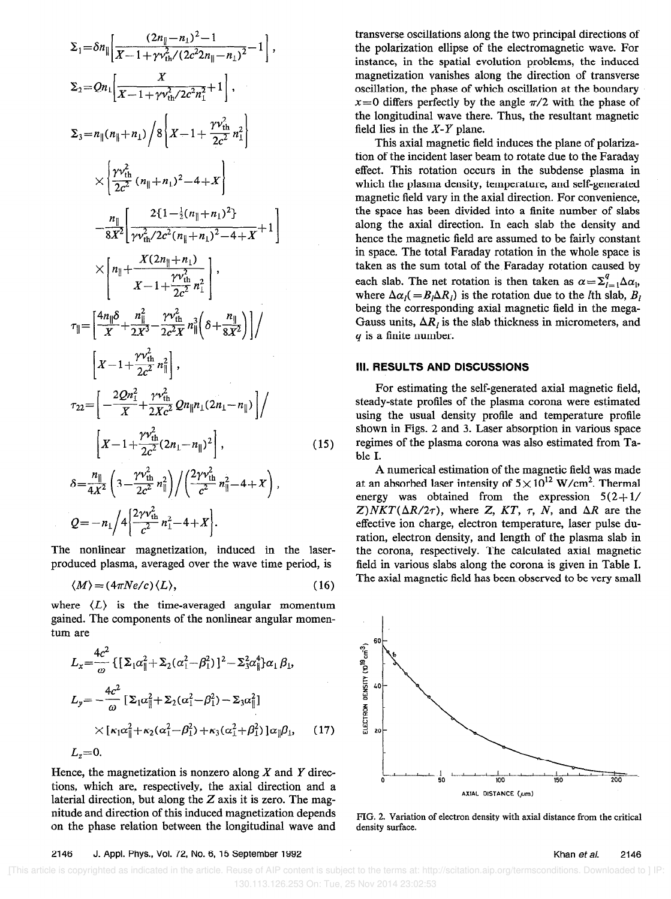$$
\Sigma_{1} = \delta n_{\parallel} \left[ \frac{(2n_{\parallel} - n_{\perp})^{2} - 1}{X - 1 + \gamma v_{\text{th}}^{2} / (2c^{2}n_{\parallel} - n_{\perp})^{2}} - 1 \right],
$$
\n
$$
\Sigma_{2} = Qn_{\perp} \left[ \frac{X}{X - 1 + \gamma v_{\text{th}}^{2} / 2c^{2}n_{\perp}^{2}} + 1 \right],
$$
\n
$$
\Sigma_{3} = n_{\parallel} (n_{\parallel} + n_{\perp}) / 8 \left[ X - 1 + \frac{\gamma v_{\text{th}}^{2}}{2c^{2}} n_{\perp}^{2} \right]
$$
\n
$$
\times \left\{ \frac{\gamma v_{\text{th}}^{2}}{2c^{2}} (n_{\parallel} + n_{\perp})^{2} - 4 + X \right\}
$$
\n
$$
- \frac{n_{\parallel}}{8X^{2}} \left[ \frac{2\{1 - \frac{1}{2}(n_{\parallel} + n_{\perp})^{2}\}}{\gamma v_{\text{th}}^{2} / 2c^{2}(n_{\parallel} + n_{\perp})^{2} - 4 + X} + 1 \right]
$$
\n
$$
\times \left[ n_{\parallel} + \frac{X(2n_{\parallel} + n_{\perp})}{X - 1 + \frac{\gamma v_{\text{th}}^{2}}{2c^{2}} n_{\perp}^{2}} \right],
$$
\n
$$
\tau_{\parallel} = \left[ \frac{4n_{\parallel} \delta}{X} + \frac{n_{\parallel}^{2}}{2X^{3}} - \frac{\gamma v_{\text{th}}^{2}}{2c^{2}X} n_{\parallel}^{3} \left( \delta + \frac{n_{\parallel}}{8X^{2}} \right) \right] /
$$
\n
$$
\left[ X - 1 + \frac{\gamma v_{\text{th}}^{2}}{2c^{2}} 2n_{\parallel} n_{\perp} (2n_{\perp} - n_{\parallel}) \right] /
$$
\n
$$
\tau_{22} = \left[ -\frac{2Qn_{\perp}^{2}}{X} + \frac{\gamma v_{\text{th}}^{2}}{2Xc^{2}} Qn_{\parallel} n_{\perp} (2n_{\perp} - n_{\parallel}) \right] /
$$
\n
$$
\left[ X - 1 + \frac{\gamma v_{\text{th}}^{2
$$

The nonlinear magnetization, induced in the laserproduced plasma, averaged over the wave time period, is

$$
\langle M \rangle = (4\pi Ne/c) \langle L \rangle, \tag{16}
$$

where  $\langle L \rangle$  is the time-averaged angular momentum gained. The components of the nonlinear angular momentum are

$$
L_{x} = \frac{4c^{2}}{\omega} \left\{ \left[ \Sigma_{1} \alpha_{\parallel}^{2} + \Sigma_{2} (\alpha_{1}^{2} - \beta_{1}^{2}) \right]^{2} - \Sigma_{3}^{2} \alpha_{\parallel}^{4} \right\} \alpha_{1} \beta_{1},
$$
\n
$$
L_{y} = -\frac{4c^{2}}{\omega} \left[ \Sigma_{1} \alpha_{\parallel}^{2} + \Sigma_{2} (\alpha_{1}^{2} - \beta_{1}^{2}) - \Sigma_{3} \alpha_{\parallel}^{2} \right]
$$
\n
$$
\times \left[ \kappa_{1} \alpha_{\parallel}^{2} + \kappa_{2} (\alpha_{1}^{2} - \beta_{1}^{2}) + \kappa_{3} (\alpha_{1}^{2} + \beta_{1}^{2}) \right] \alpha_{\parallel} \beta_{1}, \qquad (17)
$$
\n
$$
L_{z} = 0.
$$

Hence, the magnetization is nonzero along  $X$  and  $Y$  directions, which are, respectively, the axial direction and a laterial direction, but along the  $Z$  axis it is zero. The magnitude and direction of this induced magnetization depends on the phase relation between the longitudinal wave and

transverse oscillations along the two principal directions of the polarization ellipse of the electromagnetic wave. For instance, in the spatial evolution problems, the induced magnetization vanishes along the direction of transverse oscillation, the phase of which oscillation at the boundary  $x=0$  differs perfectly by the angle  $\pi/2$  with the phase of the longitudinal wave there. Thus, the resultant magnetic field lies in the  $X - Y$  plane.

This axial magnetic field induces the plane of polarization of the incident laser beam to rotate due to the Faraday effect. This rotation occurs in the subdense plasma in which the plasma density, temperature, and self-generated magnetic field vary in the axial direction. For convenience, the space has been divided into a finite number of slabs along the axial direction. In each slab the density and hence the magnetic field are assumed to be fairly constant in space. The total Faraday rotation in the whole space is taken as the sum total of the Faraday rotation caused by each slab. The net rotation is then taken as  $\alpha = \sum_{i=1}^{q} \Delta \alpha_i$ , where  $\Delta \alpha_l (= B_l \Delta R_l)$  is the rotation due to the *l*th slab,  $B_l$ being the corresponding axial magnetic field in the mega-Gauss units,  $\Delta R_l$  is the slab thickness in micrometers, and q is a finite number.

#### III. RESULTS AND DISCUSSIONS

For estimating the self-generated axial magnetic field, steady-state profiles of the plasma corona were estimated using the usual density proflle and temperature profile shown in Figs. 2 and 3. Laser absorption in various space regimes of the plasma corona was also estimated from Table I.

A numerical estimation of the magnetic field was made at an absorbed laser intensity of  $5 \times 10^{12}$  W/cm<sup>2</sup>. Thermal energy was obtained from the expression  $5(2+1)$  $Z) NKT(\Delta R/2\tau)$ , where Z, KT,  $\tau$ , N, and  $\Delta R$  are the effective ion charge, electron temperature, laser pulse duration, electron density, and length of the plasma slab in the corona, respectively. The calculated axial magnetic field in various slabs along the corona is given in Table I. The axial magnetic field has been observed to be very small



FIG. 2. Variation of electron density with axial distance from the critical density surface.

#### 2146 J. Appl. Phys., Vol. 72, No. 6, 15 September 1992 Khan et al.

 [This article is copyrighted as indicated in the article. Reuse of AIP content is subject to the terms at: http://scitation.aip.org/termsconditions. Downloaded to ] IP: 130.113.126.253 On: Tue, 25 Nov 2014 23:02:53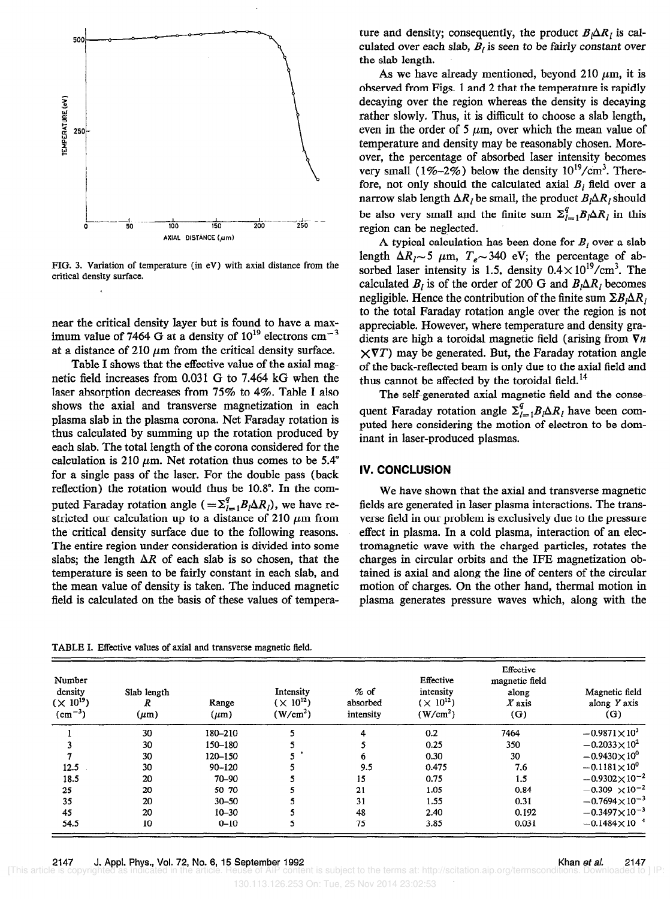

FIG. 3. Variation of temperature (in eV) with axial distance from the critical density surface.

near the critical density layer but is found to have a maximum value of 7464 G at a density of  $10^{19}$  electrons cm<sup>-3</sup> at a distance of 210  $\mu$ m from the critical density surface.

Table I shows that the effective value of the axial magnetic field increases from 0.031 G to 7.464 kG when the laser absorption decreases from 75% to 4%. Table I also shows the axial and transverse magnetization in each plasma slab in the plasma corona. Net Faraday rotation is thus calculated by summing up the rotation produced by each slab. The total length of the corona considered for the calculation is 210  $\mu$ m. Net rotation thus comes to be 5.4° for a single pass of the laser. For the double pass (back reflection) the rotation would thus be 10.8". In the computed Faraday rotation angle  $( = \sum_{i=1}^{3} B_i \Delta R_i)$ , we have restricted our calculation up to a distance of 210  $\mu$ m from the critical density surface due to the following reasons. The entire region under consideration is divided into some slabs; the length  $\Delta R$  of each slab is so chosen, that the temperature is seen to be fairly constant in each slab, and the mean value of density is taken. The induced magnetic field is calculated on the basis of these values of tempera-

TABLE I. Effective values of axial and transverse magnetic field.

ture and density; consequently, the product  $B_i \Delta R_i$  is calculated over each slab,  $B_l$  is seen to be fairly constant over the slab length.

As we have already mentioned, beyond 210  $\mu$ m, it is observed from Figs. 1 and 2 that the temperature is rapidly decaying over the region whereas the density is decaying rather slowly. Thus, it is difficult to choose a slab length, even in the order of 5  $\mu$ m, over which the mean value of temperature and density may be reasonably chosen. Moreover, the percentage of absorbed laser intensity becomes very small (1%-2%) below the density  $10^{19}/\text{cm}^3$ . Therefore, not only should the calculated axial  $B_l$  field over a narrow slab length  $\Delta R_l$  be small, the product  $B_l \Delta R_l$  should be also very small and the finite sum  $\sum_{l=1}^{q} B_l \Delta R_l$  in this region can be neglected.

A typical calculation has been done for  $B_i$  over a slab length  $\Delta R_l \sim 5$   $\mu$ m,  $T_e \sim 340$  eV; the percentage of absorbed laser intensity is 1.5, density  $0.4 \times 10^{19}$ /cm<sup>3</sup>. The calculated  $B_i$  is of the order of 200 G and  $B_i\Delta R_i$  becomes negligible. Hence the contribution of the finite sum  $\Sigma B_i \Delta R_i$ to the total Faraday rotation angle over the region is not appreciable. However, where temperature and density gradients are high a toroidal magnetic field (arising from  $\nabla n$  $\times \nabla T$ ) may be generated. But, the Faraday rotation angle of the back-reflected beam is only due to the axial field and thus cannot be affected by the toroidal field.<sup>14</sup>

The self-generated axial magnetic field and the consequent Faraday rotation angle  $\Sigma_{l=1}^{q} B_l \Delta R_l$  have been computed here considering the motion of electron to be dominant in laser-produced plasmas.

### IV. CONCLUSION

We have shown that the axial and transverse magnetic fields are generated in laser plasma interactions. The transverse field in our problem is exclusively due to the pressure effect in plasma. In a cold plasma, interaction of an electromagnetic wave with the charged particles, rotates the charges in circular orbits and the IFE magnetization obtained is axial and along the line of centers of the circular motion of charges. On the other hand, thermal motion in plasma generates pressure waves which, along with the

| Number<br>density<br>$(X 10^{19})$<br>$(cm^{-3})$ | Slab length<br>R<br>$(\mu m)$ | Range<br>$(\mu m)$ | Intensity<br>$(X 10^{12})$<br>(W/cm <sup>2</sup> ) | $%$ of<br>absorbed<br>intensity | Effective<br>intensity<br>$(\times 10^{12})$<br>(W/cm <sup>2</sup> ) | Effective<br>magnetic field<br>along<br>$X$ axis<br>(G) | Magnetic field<br>along Y axis<br>(G) |
|---------------------------------------------------|-------------------------------|--------------------|----------------------------------------------------|---------------------------------|----------------------------------------------------------------------|---------------------------------------------------------|---------------------------------------|
|                                                   | 30                            | 180-210            |                                                    | 4                               | 0.2                                                                  | 7464                                                    | $-0.9871\times10^{3}$                 |
|                                                   | 30                            | 150-180            |                                                    |                                 | 0.25                                                                 | 350                                                     | $-0.2033\times10^{2}$                 |
|                                                   | 30                            | 120-150            |                                                    | 'n.                             | 0.30                                                                 | 30                                                      | $-0.9430\times10^{0}$                 |
| 12.5                                              | 30                            | $90 - 120$         |                                                    | 9.5                             | 0.475                                                                | 7.6                                                     | $-0.1181\times10^{0}$                 |
| 18.5                                              | 20                            | $70 - 90$          |                                                    | 15                              | 0.75                                                                 | 1.5                                                     | $-0.9302\times10^{-2}$                |
| 25                                                | 20                            | $50 - 70$          |                                                    | 21                              | 1.05                                                                 | 0.84                                                    | $-0.309 \times 10^{-2}$               |
| 35                                                | 20                            | $30 - 50$          |                                                    | 31                              | 1.55                                                                 | 0.31                                                    | $-0.7694\times10^{-3}$                |
| 45                                                | 20                            | $10 - 30$          |                                                    | 48                              | 2.40                                                                 | 0.192                                                   | $-0.3497\times10^{-3}$                |
| 54.5                                              | 10                            | $0 - 10$           |                                                    | 75                              | 3.85                                                                 | 0.031                                                   | $-0.1484\times10^{-4}$                |

2147 J. Appl. Phys., Vol. 72, No. 6, 15 September 1992 Khan et al. 2147 [This article is copyrighted as indicated in the article. Reuse of AIP content is subject to the terms at: http://scitation.aip.org/termsco

130.113.126.253 On: Tue, 25 Nov 2014 23:02:53